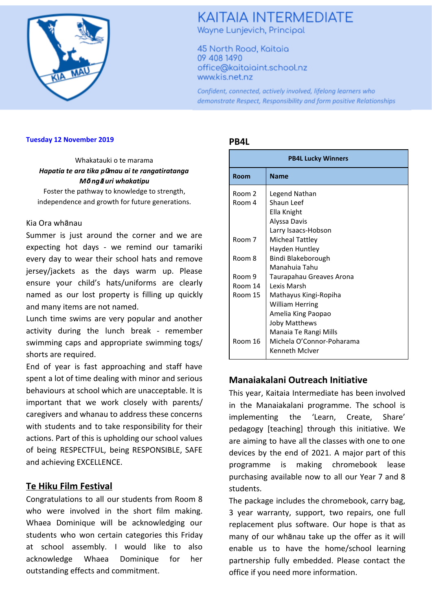

# **KAITAIA INTERMEDIATE** Wayne Lunjevich, Principal

45 North Road, Kaitaia 09 408 1490 office@kaitaiaint.school.nz www.kis.net.nz

Confident, connected, actively involved, lifelong learners who demonstrate Respect, Responsibility and form positive Relationships

#### **Tuesday 12 November 2019**

Whakatauki o te marama *Hapatia te ara tika p*ū*mau ai te rangatiratanga M*ō *ng*ā *uri whakatipu*

Foster the pathway to knowledge to strength, independence and growth for future generations.

#### Kia Ora whānau

Summer is just around the corner and we are expecting hot days - we remind our tamariki every day to wear their school hats and remove jersey/jackets as the days warm up. Please ensure your child's hats/uniforms are clearly named as our lost property is filling up quickly and many items are not named.

Lunch time swims are very popular and another activity during the lunch break - remember swimming caps and appropriate swimming togs/ shorts are required.

End of year is fast approaching and staff have spent a lot of time dealing with minor and serious behaviours at school which are unacceptable. It is important that we work closely with parents/ caregivers and whanau to address these concerns with students and to take responsibility for their actions. Part of this is upholding our school values of being RESPECTFUL, being RESPONSIBLE, SAFE and achieving EXCELLENCE.

### **Te Hiku Film Festival**

Congratulations to all our students from Room 8 who were involved in the short film making. Whaea Dominique will be acknowledging our students who won certain categories this Friday at school assembly. I would like to also acknowledge Whaea Dominique for her outstanding effects and commitment.

#### **PB4L**

| <b>PB4L Lucky Winners</b> |                                     |  |
|---------------------------|-------------------------------------|--|
| Room                      | <b>Name</b>                         |  |
| Room 2                    | Legend Nathan                       |  |
| Room 4                    | Shaun Leef                          |  |
|                           | Ella Knight                         |  |
|                           | Alyssa Davis                        |  |
|                           | Larry Isaacs-Hobson                 |  |
| Room <sub>7</sub>         | Micheal Tattley                     |  |
| Room 8                    | Hayden Huntley                      |  |
|                           | Bindi Blakeborough<br>Manahuia Tahu |  |
| Room 9                    | Taurapahau Greaves Arona            |  |
| Room 14                   | Lexis Marsh                         |  |
| Room 15                   | Mathayus Kingi-Ropiha               |  |
|                           | <b>William Herring</b>              |  |
|                           | Amelia King Paopao                  |  |
|                           | <b>Joby Matthews</b>                |  |
|                           | Manaia Te Rangi Mills               |  |
| Room 16                   | Michela O'Connor-Poharama           |  |
|                           | Kenneth McIver                      |  |

### **Manaiakalani Outreach Initiative**

This year, Kaitaia Intermediate has been involved in the Manaiakalani programme. The school is implementing the 'Learn, Create, Share' pedagogy [teaching] through this initiative. We are aiming to have all the classes with one to one devices by the end of 2021. A major part of this programme is making chromebook lease purchasing available now to all our Year 7 and 8 students.

The package includes the chromebook, carry bag, 3 year warranty, support, two repairs, one full replacement plus software. Our hope is that as many of our whānau take up the offer as it will enable us to have the home/school learning partnership fully embedded. Please contact the office if you need more information.